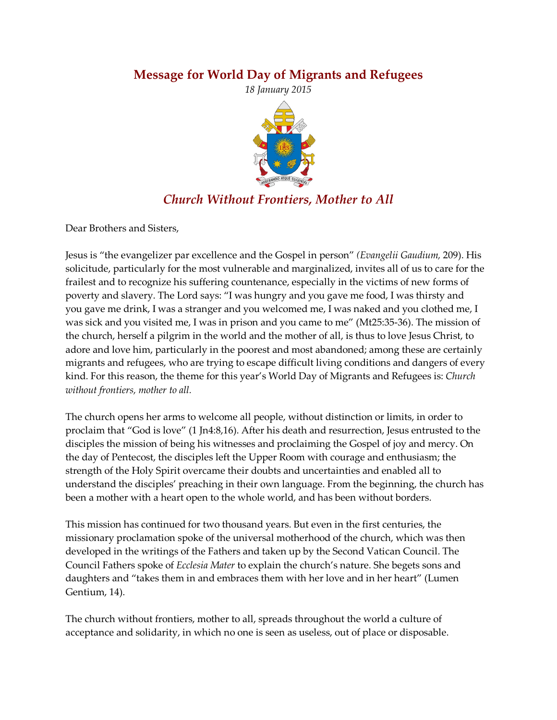## **Message for World Day of Migrants and Refugees**

*18 January 2015*



## *Church Without Frontiers, Mother to All*

Dear Brothers and Sisters,

Jesus is "the evangelizer par excellence and the Gospel in person" *(Evangelii Gaudium,* 209). His solicitude, particularly for the most vulnerable and marginalized, invites all of us to care for the frailest and to recognize his suffering countenance, especially in the victims of new forms of poverty and slavery. The Lord says: "I was hungry and you gave me food, I was thirsty and you gave me drink, I was a stranger and you welcomed me, I was naked and you clothed me, I was sick and you visited me, I was in prison and you came to me" (Mt25:35-36). The mission of the church, herself a pilgrim in the world and the mother of all, is thus to love Jesus Christ, to adore and love him, particularly in the poorest and most abandoned; among these are certainly migrants and refugees, who are trying to escape difficult living conditions and dangers of every kind. For this reason, the theme for this year's World Day of Migrants and Refugees is: *Church without frontiers, mother to all.*

The church opens her arms to welcome all people, without distinction or limits, in order to proclaim that "God is love" (1 Jn4:8,16). After his death and resurrection, Jesus entrusted to the disciples the mission of being his witnesses and proclaiming the Gospel of joy and mercy. On the day of Pentecost, the disciples left the Upper Room with courage and enthusiasm; the strength of the Holy Spirit overcame their doubts and uncertainties and enabled all to understand the disciples' preaching in their own language. From the beginning, the church has been a mother with a heart open to the whole world, and has been without borders.

This mission has continued for two thousand years. But even in the first centuries, the missionary proclamation spoke of the universal motherhood of the church, which was then developed in the writings of the Fathers and taken up by the Second Vatican Council. The Council Fathers spoke of *Ecclesia Mater* to explain the church's nature. She begets sons and daughters and "takes them in and embraces them with her love and in her heart" (Lumen Gentium, 14).

The church without frontiers, mother to all, spreads throughout the world a culture of acceptance and solidarity, in which no one is seen as useless, out of place or disposable.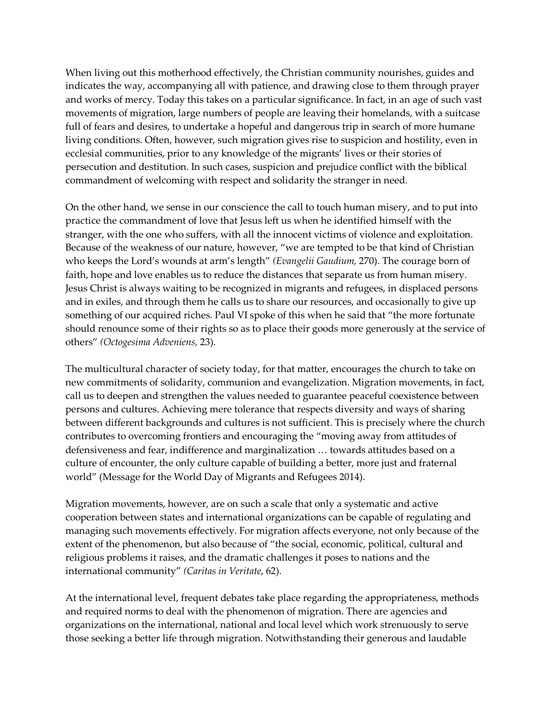When living out this motherhood effectively, the Christian community nourishes, guides and indicates the way, accompanying all with patience, and drawing close to them through prayer and works of mercy. Today this takes on a particular significance. In fact, in an age of such vast movements of migration, large numbers of people are leaving their homelands, with a suitcase full of fears and desires, to undertake a hopeful and dangerous trip in search of more humane living conditions. Often, however, such migration gives rise to suspicion and hostility, even in ecclesial communities, prior to any knowledge of the migrants' lives or their stories of persecution and destitution. In such cases, suspicion and prejudice conflict with the biblical commandment of welcoming with respect and solidarity the stranger in need.

On the other hand, we sense in our conscience the call to touch human misery, and to put into practice the commandment of love that Jesus left us when he identified himself with the stranger, with the one who suffers, with all the innocent victims of violence and exploitation. Because of the weakness of our nature, however, "we are tempted to be that kind of Christian who keeps the Lord's wounds at arm's length" *(Evangelii Gaudium,* 270). The courage born of faith, hope and love enables us to reduce the distances that separate us from human misery. Jesus Christ is always waiting to be recognized in migrants and refugees, in displaced persons and in exiles, and through them he calls us to share our resources, and occasionally to give up something of our acquired riches. Paul VI spoke of this when he said that "the more fortunate should renounce some of their rights so as to place their goods more generously at the service of others" *(Octogesima Adveniens,* 23).

The multicultural character of society today, for that matter, encourages the church to take on new commitments of solidarity, communion and evangelization. Migration movements, in fact, call us to deepen and strengthen the values needed to guarantee peaceful coexistence between persons and cultures. Achieving mere tolerance that respects diversity and ways of sharing between different backgrounds and cultures is not sufficient. This is precisely where the church contributes to overcoming frontiers and encouraging the "moving away from attitudes of defensiveness and fear, indifference and marginalization … towards attitudes based on a culture of encounter, the only culture capable of building a better, more just and fraternal world" (Message for the World Day of Migrants and Refugees 2014).

Migration movements, however, are on such a scale that only a systematic and active cooperation between states and international organizations can be capable of regulating and managing such movements effectively. For migration affects everyone, not only because of the extent of the phenomenon, but also because of "the social, economic, political, cultural and religious problems it raises, and the dramatic challenges it poses to nations and the international community" *(Caritas in Veritate*, 62).

At the international level, frequent debates take place regarding the appropriateness, methods and required norms to deal with the phenomenon of migration. There are agencies and organizations on the international, national and local level which work strenuously to serve those seeking a better life through migration. Notwithstanding their generous and laudable